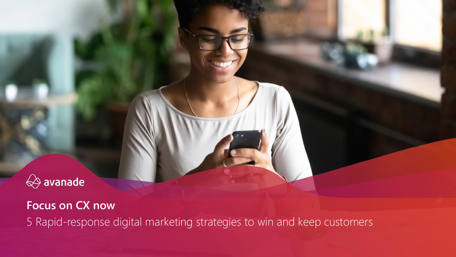

**Focus on CX now** 5 Rapid-response digital marketing strategies to win and keep customers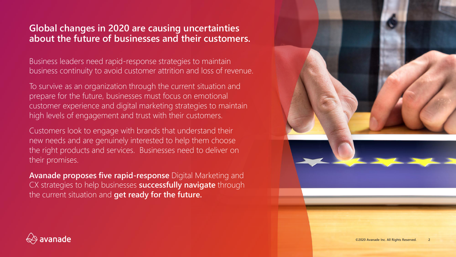## **Global changes in 2020 are causing uncertainties about the future of businesses and their customers.**

Business leaders need rapid-response strategies to maintain business continuity to avoid customer attrition and loss of revenue.

To survive as an organization through the current situation and prepare for the future, businesses must focus on emotional customer experience and digital marketing strategies to maintain high levels of engagement and trust with their customers.

Customers look to engage with brands that understand their new needs and are genuinely interested to help them choose the right products and services. Businesses need to deliver on their promises.

**Avanade proposes five rapid-response** Digital Marketing and CX strategies to help businesses **successfully navigate** through the current situation and **get ready for the future.**



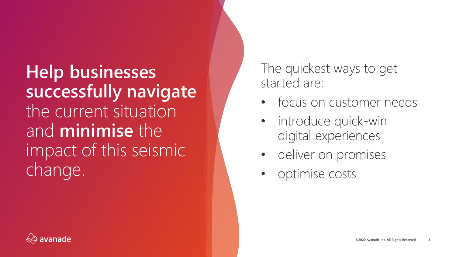**Help businesses successfully navigate** the current situation and **minimise** the impact of this seismic change.

The quickest ways to get started are:

- focus on customer needs
- introduce quick-win digital experiences
- deliver on promises
- optimise costs

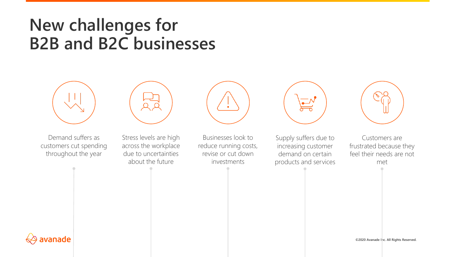## **New challenges for B2B and B2C businesses**





Demand suffers as customers cut spending throughout the year

Stress levels are high across the workplace due to uncertainties about the future



Businesses look to reduce running costs, revise or cut down investments



Supply suffers due to increasing customer demand on certain products and services



Customers are frustrated because they feel their needs are not met



**©2020 Avanade Inc. All Rights Reserved.**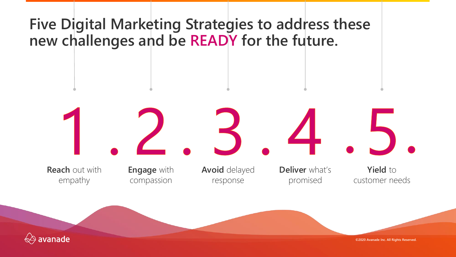

**©2020 Avanade Inc. All Rights Reserved.**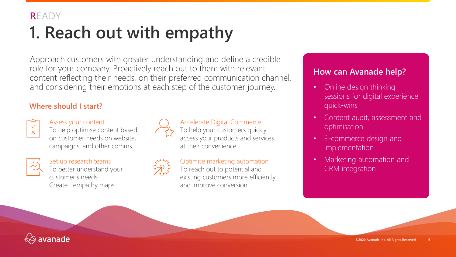# **1. Reach out with empathy**

Approach customers with greater understanding and define a credible role for your company. Proactively reach out to them with relevant content reflecting their needs, on their preferred communication channel, and considering their emotions at each step of the customer journey.

#### **Where should I start?**



#### Assess your content To help optimise content based

on customer needs on website, campaigns, and other comms.



Set up research teams To better understand your customer's needs. Create empathy maps.



### Accelerate Digital Commerce

To help your customers quickly access your products and services at their convenience.

## Optimise marketing automation

To reach out to potential and existing customers more efficiently and improve conversion.

- Online design thinking sessions for digital experience quick-wins
- Content audit, assessment and optimisation
- E-commerce design and implementation
- Marketing automation and CRM integration

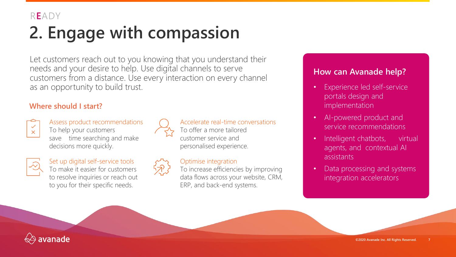# **2. Engage with compassion**

Let customers reach out to you knowing that you understand their needs and your desire to help. Use digital channels to serve customers from a distance. Use every interaction on every channel as an opportunity to build trust.

#### **Where should I start?**



Assess product recommendations To help your customers save time searching and make decisions more quickly.



Set up digital self-service tools To make it easier for customers to resolve inquiries or reach out to you for their specific needs.



#### Accelerate real-time conversations To offer a more tailored customer service and personalised experience.

#### Optimise integration

To increase efficiencies by improving data flows across your website, CRM, ERP, and back-end systems.

- Experience led self-service portals design and implementation
- AI-powered product and service recommendations
- Intelligent chatbots, virtual agents, and contextual AI assistants
- Data processing and systems integration accelerators

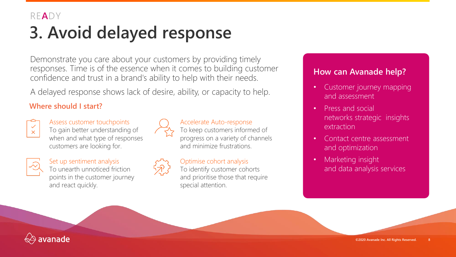## **3. Avoid delayed response**

Demonstrate you care about your customers by providing timely responses. Time is of the essence when it comes to building customer confidence and trust in a brand's ability to help with their needs.

A delayed response shows lack of desire, ability, or capacity to help.

### **Where should I start?**



Assess customer touchpoints To gain better understanding of when and what type of responses customers are looking for.



Set up sentiment analysis To unearth unnoticed friction points in the customer journey and react quickly.



#### Accelerate Auto-response

To keep customers informed of progress on a variety of channels and minimize frustrations.

## Optimise cohort analysis

To identify customer cohorts and prioritise those that require special attention.

- Customer journey mapping and assessment
- Press and social networks strategic insights extraction
- Contact centre assessment and optimization
- Marketing insight and data analysis services

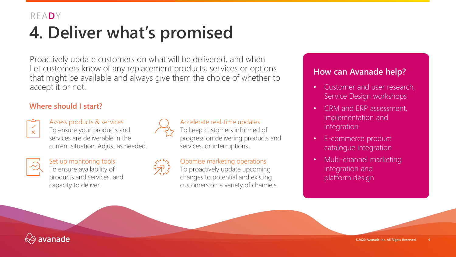# **4. Deliver what's promised**

Proactively update customers on what will be delivered, and when. Let customers know of any replacement products, services or options that might be available and always give them the choice of whether to accept it or not.

#### **Where should I start?**



Assess products & services To ensure your products and services are deliverable in the current situation. Adjust as needed.



Set up monitoring tools To ensure availability of products and services, and capacity to deliver.



#### Accelerate real-time updates

To keep customers informed of progress on delivering products and services, or interruptions.

#### Optimise marketing operations

To proactively update upcoming changes to potential and existing customers on a variety of channels.

- Customer and user research, Service Design workshops
- CRM and ERP assessment, implementation and integration
- E-commerce product catalogue integration
- Multi-channel marketing integration and platform design

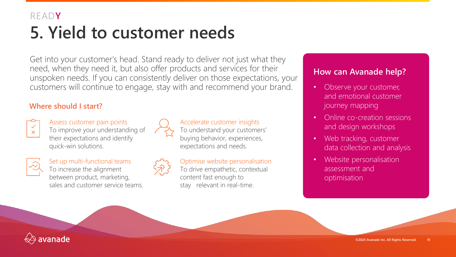## **5. Yield to customer needs** READ**Y**

Get into your customer's head. Stand ready to deliver not just what they need, when they need it, but also offer products and services for their unspoken needs. If you can consistently deliver on those expectations, your customers will continue to engage, stay with and recommend your brand.

#### **Where should I start?**



Assess customer pain points To improve your understanding of their expectations and identify quick-win solutions.



Set up multi-functional teams To increase the alignment between product, marketing, sales and customer service teams.



#### Accelerate customer insights To understand your customers' buying behavior, experiences, expectations and needs.

Optimise website personalisation To drive empathetic, contextual content fast enough to stay relevant in real-time.

- Observe your customer, and emotional customer journey mapping
- Online co-creation sessions and design workshops
- Web tracking, customer data collection and analysis
- Website personalisation assessment and optimisation

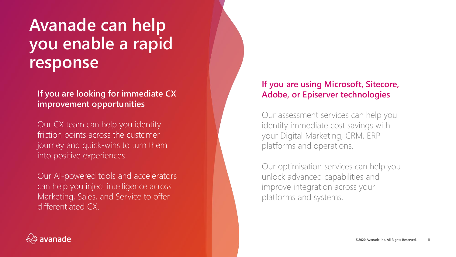## **Avanade can help you enable a rapid response**

**If you are looking for immediate CX improvement opportunities**

Our CX team can help you identify friction points across the customer journey and quick-wins to turn them into positive experiences.

Our AI-powered tools and accelerators can help you inject intelligence across Marketing, Sales, and Service to offer differentiated CX.

## **If you are using Microsoft, Sitecore, Adobe, or Episerver technologies**

Our assessment services can help you identify immediate cost savings with your Digital Marketing, CRM, ERP platforms and operations.

Our optimisation services can help you unlock advanced capabilities and improve integration across your platforms and systems.